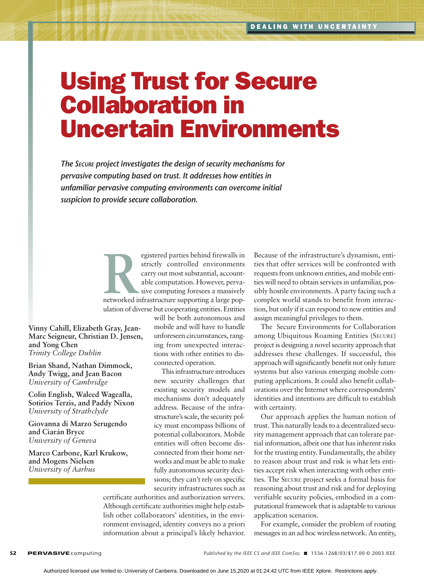# Using Trust for Secure Collaboration in Uncertain Environments

*The SECURE project investigates the design of security mechanisms for pervasive computing based on trust. It addresses how entities in unfamiliar pervasive computing environments can overcome initial suspicion to provide secure collaboration.*

> registered parties behind firewalls in strictly controlled environments carry out most substantial, accountable computation. However, pervasive computing foresees a massively networked infrastructure supporting a large pop strictly controlled environments carry out most substantial, accountable computation. However, pervasive computing foresees a massively ulation of diverse but cooperating entities. Entities

**Vinny Cahill, Elizabeth Gray, Jean-Marc Seigneur, Christian D. Jensen, and Yong Chen** *Trinity College Dublin*

**Brian Shand, Nathan Dimmock, Andy Twigg, and Jean Bacon** *University of Cambridge*

**Colin English, Waleed Wagealla, Sotirios Terzis, and Paddy Nixon** *University of Strathclyde*

**Giovanna di Marzo Serugendo and Ciarán Bryce** *University of Geneva*

**Marco Carbone, Karl Krukow, and Mogens Nielsen** *University of Aarhus*

will be both autonomous and mobile and will have to handle unforeseen circumstances, ranging from unexpected interactions with other entities to disconnected operation.

This infrastructure introduces new security challenges that existing security models and mechanisms don't adequately address. Because of the infrastructure's scale, the security policy must encompass billions of potential collaborators. Mobile entities will often become disconnected from their home networks and must be able to make fully autonomous security decisions; they can't rely on specific security infrastructures such as

certificate authorities and authorization servers. Although certificate authorities might help establish other collaborators' identities, in the environment envisaged, identity conveys no a priori information about a principal's likely behavior.

Because of the infrastructure's dynamism, entities that offer services will be confronted with requests from unknown entities, and mobile entities will need to obtain services in unfamiliar, possibly hostile environments. A party facing such a complex world stands to benefit from interaction, but only if it can respond to new entities and assign meaningful privileges to them.

The Secure Environments for Collaboration among Ubiquitous Roaming Entities (SECURE) project is designing a novel security approach that addresses these challenges. If successful, this approach will significantly benefit not only future systems but also various emerging mobile computing applications. It could also benefit collaborations over the Internet where correspondents' identities and intentions are difficult to establish with certainty.

Our approach applies the human notion of trust. This naturally leads to a decentralized security management approach that can tolerate partial information, albeit one that has inherent risks for the trusting entity. Fundamentally, the ability to reason about trust and risk is what lets entities accept risk when interacting with other entities. The SECURE project seeks a formal basis for reasoning about trust and risk and for deploying verifiable security policies, embodied in a computational framework that is adaptable to various application scenarios.

For example, consider the problem of routing messages in an ad hoc wireless network. An entity,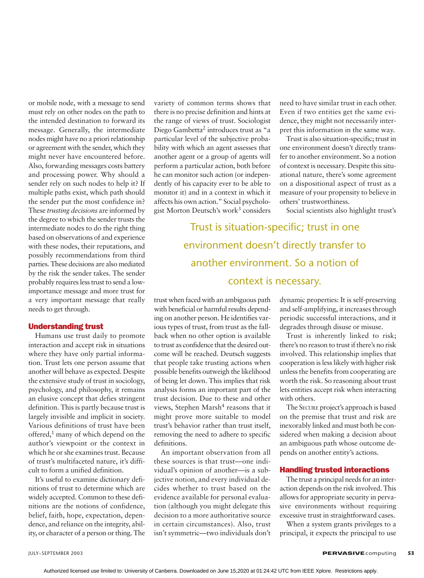or mobile node, with a message to send must rely on other nodes on the path to the intended destination to forward its message. Generally, the intermediate nodes might have no a priori relationship or agreement with the sender, which they might never have encountered before. Also, forwarding messages costs battery and processing power. Why should a sender rely on such nodes to help it? If multiple paths exist, which path should the sender put the most confidence in? These *trusting decisions* are informed by the degree to which the sender trusts the intermediate nodes to do the right thing based on observations of and experience with these nodes, their reputations, and possibly recommendations from third parties. These decisions are also mediated by the risk the sender takes. The sender probably requires less trust to send a lowimportance message and more trust for a very important message that really needs to get through.

### Understanding trust

Humans use trust daily to promote interaction and accept risk in situations where they have only partial information. Trust lets one person assume that another will behave as expected. Despite the extensive study of trust in sociology, psychology, and philosophy, it remains an elusive concept that defies stringent definition. This is partly because trust is largely invisible and implicit in society. Various definitions of trust have been offered,<sup>1</sup> many of which depend on the author's viewpoint or the context in which he or she examines trust. Because of trust's multifaceted nature, it's difficult to form a unified definition.

It's useful to examine dictionary definitions of trust to determine which are widely accepted. Common to these definitions are the notions of confidence, belief, faith, hope, expectation, dependence, and reliance on the integrity, ability, or character of a person or thing. The variety of common terms shows that there is no precise definition and hints at the range of views of trust. Sociologist Diego Gambetta<sup>2</sup> introduces trust as "a particular level of the subjective probability with which an agent assesses that another agent or a group of agents will perform a particular action, both before he can monitor such action (or independently of his capacity ever to be able to monitor it) and in a context in which it affects his own action." Social psychologist Morton Deutsch's work3 considers

need to have similar trust in each other. Even if two entities get the same evidence, they might not necessarily interpret this information in the same way.

Trust is also situation-specific; trust in one environment doesn't directly transfer to another environment. So a notion of context is necessary. Despite this situational nature, there's some agreement on a dispositional aspect of trust as a measure of your propensity to believe in others' trustworthiness.

Social scientists also highlight trust's

Trust is situation-specific; trust in one environment doesn't directly transfer to another environment. So a notion of context is necessary.

trust when faced with an ambiguous path with beneficial or harmful results depending on another person. He identifies various types of trust, from trust as the fallback when no other option is available to trust as confidence that the desired outcome will be reached. Deutsch suggests that people take trusting actions when possible benefits outweigh the likelihood of being let down. This implies that risk analysis forms an important part of the trust decision. Due to these and other views, Stephen Marsh<sup>4</sup> reasons that it might prove more suitable to model trust's behavior rather than trust itself, removing the need to adhere to specific definitions.

An important observation from all these sources is that trust—one individual's opinion of another—is a subjective notion, and every individual decides whether to trust based on the evidence available for personal evaluation (although you might delegate this decision to a more authoritative source in certain circumstances). Also, trust isn't symmetric—two individuals don't dynamic properties: It is self-preserving and self-amplifying, it increases through periodic successful interactions, and it degrades through disuse or misuse.

Trust is inherently linked to risk; there's no reason to trust if there's no risk involved. This relationship implies that cooperation is less likely with higher risk unless the benefits from cooperating are worth the risk. So reasoning about trust lets entities accept risk when interacting with others.

The SECURE project's approach is based on the premise that trust and risk are inexorably linked and must both be considered when making a decision about an ambiguous path whose outcome depends on another entity's actions.

### Handling trusted interactions

The trust a principal needs for an interaction depends on the risk involved. This allows for appropriate security in pervasive environments without requiring excessive trust in straightforward cases.

When a system grants privileges to a principal, it expects the principal to use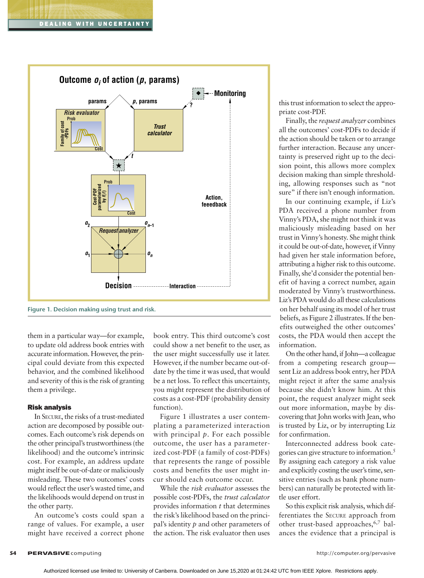

them in a particular way—for example, to update old address book entries with accurate information. However, the principal could deviate from this expected behavior, and the combined likelihood and severity of this is the risk of granting them a privilege.

### Risk analysis

In SECURE, the risks of a trust-mediated action are decomposed by possible outcomes. Each outcome's risk depends on the other principal's trustworthiness (the likelihood) and the outcome's intrinsic cost. For example, an address update might itself be out-of-date or maliciously misleading. These two outcomes' costs would reflect the user's wasted time, and the likelihoods would depend on trust in the other party.

An outcome's costs could span a range of values. For example, a user might have received a correct phone book entry. This third outcome's cost could show a net benefit to the user, as the user might successfully use it later. However, if the number became out-ofdate by the time it was used, that would be a net loss. To reflect this uncertainty, you might represent the distribution of costs as a cost-PDF (probability density function).

Figure 1 illustrates a user contemplating a parameterized interaction with principal *p*. For each possible outcome, the user has a parameterized cost-PDF (a family of cost-PDFs) that represents the range of possible costs and benefits the user might incur should each outcome occur.

While the *risk evaluator* assesses the possible cost-PDFs, the *trust calculator* provides information *t* that determines the risk's likelihood based on the principal's identity *p* and other parameters of the action. The risk evaluator then uses this trust information to select the appropriate cost-PDF.

Finally, the *request analyzer* combines all the outcomes' cost-PDFs to decide if the action should be taken or to arrange further interaction. Because any uncertainty is preserved right up to the decision point, this allows more complex decision making than simple thresholding, allowing responses such as "not sure" if there isn't enough information.

In our continuing example, if Liz's PDA received a phone number from Vinny's PDA, she might not think it was maliciously misleading based on her trust in Vinny's honesty. She might think it could be out-of-date, however, if Vinny had given her stale information before, attributing a higher risk to this outcome. Finally, she'd consider the potential benefit of having a correct number, again moderated by Vinny's trustworthiness. Liz's PDA would do all these calculations on her behalf using its model of her trust beliefs, as Figure 2 illustrates. If the benefits outweighed the other outcomes' costs, the PDA would then accept the information.

On the other hand, if John—a colleague from a competing research group sent Liz an address book entry, her PDA might reject it after the same analysis because she didn't know him. At this point, the request analyzer might seek out more information, maybe by discovering that John works with Jean, who is trusted by Liz, or by interrupting Liz for confirmation.

Interconnected address book categories can give structure to information.5 By assigning each category a risk value and explicitly costing the user's time, sensitive entries (such as bank phone numbers) can naturally be protected with little user effort.

So this explicit risk analysis, which differentiates the SECURE approach from other trust-based approaches,6,7 balances the evidence that a principal is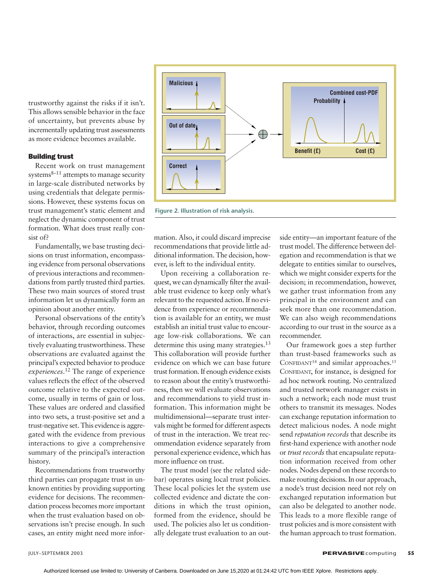trustworthy against the risks if it isn't. This allows sensible behavior in the face of uncertainty, but prevents abuse by incrementally updating trust assessments as more evidence becomes available.

### Building trust

Recent work on trust management systems $8-11$  attempts to manage security in large-scale distributed networks by using credentials that delegate permissions. However, these systems focus on trust management's static element and neglect the dynamic component of trust formation. What does trust really consist of?

Fundamentally, we base trusting decisions on trust information, encompassing evidence from personal observations of previous interactions and recommendations from partly trusted third parties. These two main sources of stored trust information let us dynamically form an opinion about another entity.

Personal observations of the entity's behavior, through recording outcomes of interactions, are essential in subjectively evaluating trustworthiness. These observations are evaluated against the principal's expected behavior to produce *experiences*. <sup>12</sup> The range of experience values reflects the effect of the observed outcome relative to the expected outcome, usually in terms of gain or loss. These values are ordered and classified into two sets, a trust-positive set and a trust-negative set. This evidence is aggregated with the evidence from previous interactions to give a comprehensive summary of the principal's interaction history.

Recommendations from trustworthy third parties can propagate trust in unknown entities by providing supporting evidence for decisions. The recommendation process becomes more important when the trust evaluation based on observations isn't precise enough. In such cases, an entity might need more infor-



**Figure 2. Illustration of risk analysis.**

mation. Also, it could discard imprecise recommendations that provide little additional information. The decision, however, is left to the individual entity.

Upon receiving a collaboration request, we can dynamically filter the available trust evidence to keep only what's relevant to the requested action. If no evidence from experience or recommendation is available for an entity, we must establish an initial trust value to encourage low-risk collaborations. We can determine this using many strategies.<sup>13</sup> This collaboration will provide further evidence on which we can base future trust formation. If enough evidence exists to reason about the entity's trustworthiness, then we will evaluate observations and recommendations to yield trust information. This information might be multidimensional—separate trust intervals might be formed for different aspects of trust in the interaction. We treat recommendation evidence separately from personal experience evidence, which has more influence on trust.

The trust model (see the related sidebar) operates using local trust policies. These local policies let the system use collected evidence and dictate the conditions in which the trust opinion, formed from the evidence, should be used. The policies also let us conditionally delegate trust evaluation to an outside entity—an important feature of the trust model. The difference between delegation and recommendation is that we delegate to entities similar to ourselves, which we might consider experts for the decision; in recommendation, however, we gather trust information from any principal in the environment and can seek more than one recommendation. We can also weigh recommendations according to our trust in the source as a recommender.

Our framework goes a step further than trust-based frameworks such as  $CONFIDANT<sup>14</sup>$  and similar approaches.<sup>15</sup> CONFIDANT, for instance, is designed for ad hoc network routing. No centralized and trusted network manager exists in such a network; each node must trust others to transmit its messages. Nodes can exchange reputation information to detect malicious nodes. A node might send *reputation records* that describe its first-hand experience with another node or *trust records* that encapsulate reputation information received from other nodes. Nodes depend on these records to make routing decisions. In our approach, a node's trust decision need not rely on exchanged reputation information but can also be delegated to another node. This leads to a more flexible range of trust policies and is more consistent with the human approach to trust formation.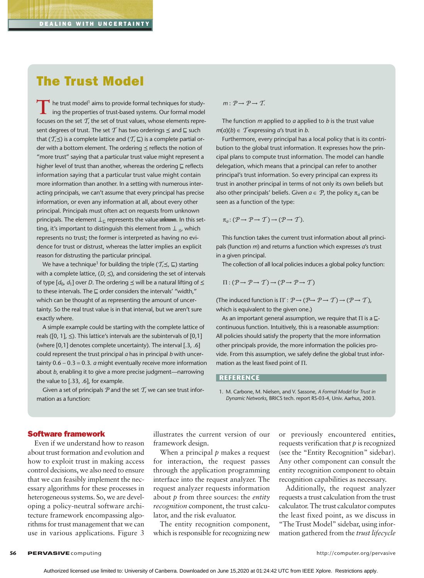### The Trust Model

The trust model<sup>1</sup> aims to provide formal techniques for study-<br>ing the properties of trust-based systems. Our formal model focuses on the set  $\mathcal T$ , the set of trust values, whose elements represent degrees of trust. The set  $\mathcal T$  has two orderings  $\preceq$  and  $\sqsubseteq$  such that  $(\mathcal{T}, \preceq)$  is a complete lattice and  $(\mathcal{T}, \sqsubseteq)$  is a complete partial order with a bottom element. The ordering  $\preceq$  reflects the notion of "more trust" saying that a particular trust value might represent a higher level of trust than another, whereas the ordering  $\sqsubseteq$  reflects information saying that a particular trust value might contain more information than another. In a setting with numerous interacting principals, we can't assume that every principal has precise information, or even any information at all, about every other principal. Principals must often act on requests from unknown principals. The element  $\bot_\sqsubseteq$  represents the value unknown. In this setting, it's important to distinguish this element from  $\perp \text{L}$ , which represents no trust; the former is interpreted as having no evidence for trust or distrust, whereas the latter implies an explicit reason for distrusting the particular principal.

We have a technique<sup>1</sup> for building the triple  $(\mathcal{T}, \preceq, \sqsubseteq)$  starting with a complete lattice,  $(D, \leq)$ , and considering the set of intervals of type  $[d_0, d_1]$  over *D*. The ordering  $\leq$  will be a natural lifting of  $\leq$ to these intervals. The  $\sqsubseteq$  order considers the intervals' "width," which can be thought of as representing the amount of uncertainty. So the real trust value is in that interval, but we aren't sure exactly where.

A simple example could be starting with the complete lattice of reals ([0, 1],  $\leq$ ). This lattice's intervals are the subintervals of [0,1] (where [0,1] denotes complete uncertainty). The interval [.3, .6] could represent the trust principal *a* has in principal *b* with uncertainty 0.6 − 0.3 = 0.3. *a* might eventually receive more information about *b*, enabling it to give a more precise judgment—narrowing the value to [.33, .6], for example.

Given a set of principals  $P$  and the set  $T$ , we can see trust information as a function:

### $m: \mathcal{P} \rightarrow \mathcal{P} \rightarrow \mathcal{T}$ .

The function *m* applied to *a* applied to *b* is the trust value *m*(*a*)(*b*) ∈  $T$  expressing *a*'s trust in *b*.

Furthermore, every principal has a local policy that is its contribution to the global trust information. It expresses how the principal plans to compute trust information. The model can handle delegation, which means that a principal can refer to another principal's trust information. So every principal can express its trust in another principal in terms of not only its own beliefs but also other principals' beliefs. Given  $a \in \mathcal{P}$ , the policy  $\pi_a$  can be seen as a function of the type:

$$
\pi_a\colon(\mathcal{P}\to\mathcal{P}\to\mathcal{T})\to(\mathcal{P}\to\mathcal{T}).
$$

This function takes the current trust information about all principals (function *m*) and returns a function which expresses *a*'s trust in a given principal.

The collection of all local policies induces a global policy function:

$$
\Pi: (\mathcal{P} \to \mathcal{P} \to \mathcal{T}) \to (\mathcal{P} \to \mathcal{P} \to \mathcal{T})
$$

(The induced function is  $\Pi' : \mathcal{P} \to (\mathcal{P} \to \mathcal{T}) \to (\mathcal{P} \to \mathcal{T})$ ), which is equivalent to the given one.)

As an important general assumption, we require that  $\Pi$  is a  $\sqsubseteq$ continuous function. Intuitively, this is a reasonable assumption: All policies should satisfy the property that the more information other principals provide, the more information the policies provide. From this assumption, we safely define the global trust information as the least fixed point of Π.

### **REFERENCE**

1. M. Carbone, M. Nielsen, and V. Sassone, *A Formal Model for Trust in Dynamic Networks*, BRICS tech. report RS-03-4, Univ. Aarhus, 2003.

### Software framework

Even if we understand how to reason about trust formation and evolution and how to exploit trust in making access control decisions, we also need to ensure that we can feasibly implement the necessary algorithms for these processes in heterogeneous systems. So, we are developing a policy-neutral software architecture framework encompassing algorithms for trust management that we can use in various applications. Figure 3

illustrates the current version of our framework design.

When a principal *p* makes a request for interaction, the request passes through the application programming interface into the request analyzer. The request analyzer requests information about *p* from three sources: the *entity recognition* component, the trust calculator, and the risk evaluator.

The entity recognition component, which is responsible for recognizing new

or previously encountered entities, requests verification that *p* is recognized (see the "Entity Recognition" sidebar). Any other component can consult the entity recognition component to obtain recognition capabilities as necessary.

Additionally, the request analyzer requests a trust calculation from the trust calculator. The trust calculator computes the least fixed point, as we discuss in "The Trust Model" sidebar, using information gathered from the *trust lifecycle*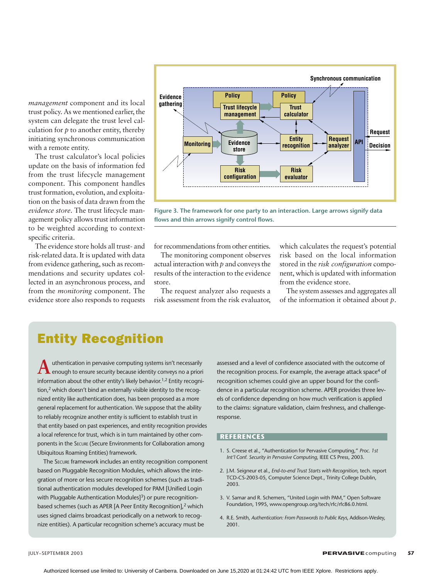*management* component and its local trust policy. As we mentioned earlier, the system can delegate the trust level calculation for  $p$  to another entity, thereby initiating synchronous communication with a remote entity.

The trust calculator's local policies update on the basis of information fed from the trust lifecycle management component. This component handles trust formation, evolution, and exploitation on the basis of data drawn from the *evidence store*. The trust lifecycle management policy allows trust information to be weighted according to contextspecific criteria.

The evidence store holds all trust- and risk-related data. It is updated with data from evidence gathering, such as recommendations and security updates collected in an asynchronous process, and from the *monitoring* component. The evidence store also responds to requests



**Figure 3. The framework for one party to an interaction. Large arrows signify data flows and thin arrows signify control flows.**

for recommendations from other entities.

The monitoring component observes actual interaction with *p* and conveys the results of the interaction to the evidence store.

The request analyzer also requests a risk assessment from the risk evaluator,

which calculates the request's potential risk based on the local information stored in the *risk configuration* component, which is updated with information from the evidence store.

The system assesses and aggregates all of the information it obtained about *p*.

## Entity Recognition

**A**uthentication in pervasive computing systems isn't necessarily<br> **A**enough to ensure security because identity conveys no a priori information about the other entity's likely behavior.<sup>1,2</sup> Entity recognition,<sup>2</sup> which doesn't bind an externally visible identity to the recognized entity like authentication does, has been proposed as a more general replacement for authentication. We suppose that the ability to reliably recognize another entity is sufficient to establish trust in that entity based on past experiences, and entity recognition provides a local reference for trust, which is in turn maintained by other components in the SECURE (Secure Environments for Collaboration among Ubiquitous Roaming Entities) framework.

The SECURE framework includes an entity recognition component based on Pluggable Recognition Modules, which allows the integration of more or less secure recognition schemes (such as traditional authentication modules developed for PAM [Unified Login with Pluggable Authentication Modules<sup>[3]</sup> or pure recognitionbased schemes (such as APER [A Peer Entity Recognition],<sup>2</sup> which uses signed claims broadcast periodically on a network to recognize entities). A particular recognition scheme's accuracy must be

assessed and a level of confidence associated with the outcome of the recognition process. For example, the average attack space $4$  of recognition schemes could give an upper bound for the confidence in a particular recognition scheme. APER provides three levels of confidence depending on how much verification is applied to the claims: signature validation, claim freshness, and challengeresponse.

### **REFERENCES**

- 1. S. Creese et al., "Authentication for Pervasive Computing," *Proc. 1st Int'l Conf. Security in Pervasive Computing*, IEEE CS Press, 2003.
- 2. J.M. Seigneur et al., *End-to-end Trust Starts with Recognition*, tech. report TCD-CS-2003-05, Computer Science Dept., Trinity College Dublin, 2003.
- 3. V. Samar and R. Schemers, "United Login with PAM," Open Software Foundation, 1995, www.opengroup.org/tech/rfc/rfc86.0.html.
- 4. R.E. Smith, *Authentication: From Passwords to Public Keys*, Addison-Wesley, 2001.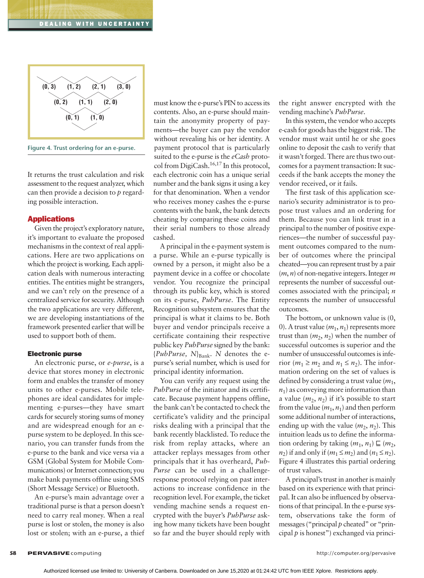

It returns the trust calculation and risk assessment to the request analyzer, which can then provide a decision to *p* regarding possible interaction.

#### Applications

Given the project's exploratory nature, it's important to evaluate the proposed mechanisms in the context of real applications. Here are two applications on which the project is working. Each application deals with numerous interacting entities. The entities might be strangers, and we can't rely on the presence of a centralized service for security. Although the two applications are very different, we are developing instantiations of the framework presented earlier that will be used to support both of them.

### Electronic purse

An electronic purse, or *e-purse*, is a device that stores money in electronic form and enables the transfer of money units to other e-purses. Mobile telephones are ideal candidates for implementing e-purses—they have smart cards for securely storing sums of money and are widespread enough for an epurse system to be deployed. In this scenario, you can transfer funds from the e-purse to the bank and vice versa via a GSM (Global System for Mobile Communications) or Internet connection; you make bank payments offline using SMS (Short Message Service) or Bluetooth.

An e-purse's main advantage over a traditional purse is that a person doesn't need to carry real money. When a real purse is lost or stolen, the money is also lost or stolen; with an e-purse, a thief

must know the e-purse's PIN to access its contents. Also, an e-purse should maintain the anonymity property of payments—the buyer can pay the vendor without revealing his or her identity. A payment protocol that is particularly suited to the e-purse is the *eCash* protocol from DigiCash.<sup>16,17</sup> In this protocol, each electronic coin has a unique serial number and the bank signs it using a key for that denomination. When a vendor who receives money cashes the e-purse contents with the bank, the bank detects cheating by comparing these coins and their serial numbers to those already cashed.

A principal in the e-payment system is a purse. While an e-purse typically is owned by a person, it might also be a payment device in a coffee or chocolate vendor. You recognize the principal through its public key, which is stored on its e-purse, *PubPurse*. The Entity Recognition subsystem ensures that the principal is what it claims to be. Both buyer and vendor principals receive a certificate containing their respective public key *PubPurse* signed by the bank: {*PubPurse*, *N*}<sub>Bank</sub>. *N* denotes the epurse's serial number, which is used for principal identity information.

You can verify any request using the *PubPurse* of the initiator and its certificate. Because payment happens offline, the bank can't be contacted to check the certificate's validity and the principal risks dealing with a principal that the bank recently blacklisted. To reduce the risk from replay attacks, where an attacker replays messages from other principals that it has overheard, *Pub-Purse* can be used in a challengeresponse protocol relying on past interactions to increase confidence in the recognition level. For example, the ticket vending machine sends a request encrypted with the buyer's *PubPurse* asking how many tickets have been bought so far and the buyer should reply with

the right answer encrypted with the vending machine's *PubPurse*.

In this system, the vendor who accepts e-cash for goods has the biggest risk. The vendor must wait until he or she goes online to deposit the cash to verify that it wasn't forged. There are thus two outcomes for a payment transaction: It succeeds if the bank accepts the money the vendor received, or it fails.

The first task of this application scenario's security administrator is to propose trust values and an ordering for them. Because you can link trust in a principal to the number of positive experiences—the number of successful payment outcomes compared to the number of outcomes where the principal cheated—you can represent trust by a pair (*m*, *n*) of non-negative integers. Integer *m* represents the number of successful outcomes associated with the principal; *n* represents the number of unsuccessful outcomes.

The bottom, or unknown value is (0, 0). A trust value  $(m_1, n_1)$  represents more trust than  $(m_2, n_2)$  when the number of successful outcomes is superior and the number of unsuccessful outcomes is inferior ( $m_1 \ge m_2$  and  $n_1 \le n_2$ ). The information ordering on the set of values is defined by considering a trust value (*m*1,  $n_1$ ) as conveying more information than a value  $(m_2, n_2)$  if it's possible to start from the value  $(m_1, n_1)$  and then perform some additional number of interactions, ending up with the value  $(m_2, n_2)$ . This intuition leads us to define the information ordering by taking  $(m_1, n_1) \sqsubseteq (m_2,$  $n_2$ ) if and only if ( $m_1 \le m_2$ ) and ( $n_1 \le n_2$ ). Figure 4 illustrates this partial ordering of trust values.

A principal's trust in another is mainly based on its experience with that principal. It can also be influenced by observations of that principal. In the e-purse system, observations take the form of messages ("principal *p* cheated" or "principal *p* is honest") exchanged via princi-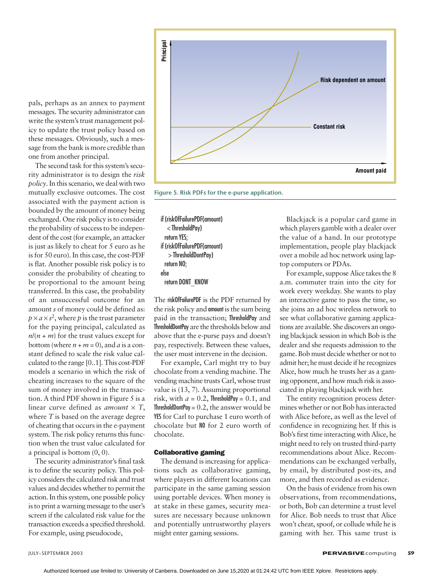

messages. The security administrator can write the system's trust management policy to update the trust policy based on these messages. Obviously, such a message from the bank is more credible than one from another principal.

pals, perhaps as an annex to payment

The second task for this system's security administrator is to design the *risk policy*. In this scenario, we deal with two mutually exclusive outcomes. The cost associated with the payment action is bounded by the amount of money being exchanged. One risk policy is to consider the probability of success to be independent of the cost (for example, an attacker is just as likely to cheat for 5 euro as he is for 50 euro). In this case, the cost-PDF is flat. Another possible risk policy is to consider the probability of cheating to be proportional to the amount being transferred. In this case, the probability of an unsuccessful outcome for an amount *s* of money could be defined as:  $p \times a \times s^2$ , where *p* is the trust parameter for the paying principal, calculated as  $n/(n + m)$  for the trust values except for bottom (where  $n + m = 0$ ), and *a* is a constant defined to scale the risk value calculated to the range [0..1]. This cost-PDF models a scenario in which the risk of cheating increases to the square of the sum of money involved in the transaction. A third PDF shown in Figure 5 is a linear curve defined as *amount*  $\times$  *T*, where *T* is based on the average degree of cheating that occurs in the e-payment system. The risk policy returns this function when the trust value calculated for a principal is bottom (0, 0).

The security administrator's final task is to define the security policy. This policy considers the calculated risk and trust values and decides whether to permit the action. In this system, one possible policy is to print a warning message to the user's screen if the calculated risk value for the transaction exceeds a specified threshold. For example, using pseudocode,

**Figure 5. Risk PDFs for the e-purse application.**

if (riskOfFailurePDF(amount) < ThresholdPay) return YES; if (riskOfFailurePDF(amount) > ThresholdDontPay) return NO; else return DONT\_KNOW

The riskOfFailurePDF is the PDF returned by the risk policy and amount is the sum being paid in the transaction; ThresholdPay and ThresholdDontPay are the thresholds below and above that the e-purse pays and doesn't pay, respectively. Between these values, the user must intervene in the decision.

For example, Carl might try to buy chocolate from a vending machine. The vending machine trusts Carl, whose trust value is (13, 7). Assuming proportional risk, with  $a = 0.2$ , ThresholdPay = 0.1, and ThresholdDontPay =  $0.2$ , the answer would be YES for Carl to purchase 1 euro worth of chocolate but N0 for 2 euro worth of chocolate.

### Collaborative gaming

The demand is increasing for applications such as collaborative gaming, where players in different locations can participate in the same gaming session using portable devices. When money is at stake in these games, security measures are necessary because unknown and potentially untrustworthy players might enter gaming sessions.

Blackjack is a popular card game in which players gamble with a dealer over the value of a hand. In our prototype implementation, people play blackjack over a mobile ad hoc network using laptop computers or PDAs.

For example, suppose Alice takes the 8 a.m. commuter train into the city for work every weekday. She wants to play an interactive game to pass the time, so she joins an ad hoc wireless network to see what collaborative gaming applications are available. She discovers an ongoing blackjack session in which Bob is the dealer and she requests admission to the game. Bob must decide whether or not to admit her; he must decide if he recognizes Alice, how much he trusts her as a gaming opponent, and how much risk is associated in playing blackjack with her.

The entity recognition process determines whether or not Bob has interacted with Alice before, as well as the level of confidence in recognizing her. If this is Bob's first time interacting with Alice, he might need to rely on trusted third-party recommendations about Alice. Recommendations can be exchanged verbally, by email, by distributed post-its, and more, and then recorded as evidence.

On the basis of evidence from his own observations, from recommendations, or both, Bob can determine a trust level for Alice. Bob needs to trust that Alice won't cheat, spoof, or collude while he is gaming with her. This same trust is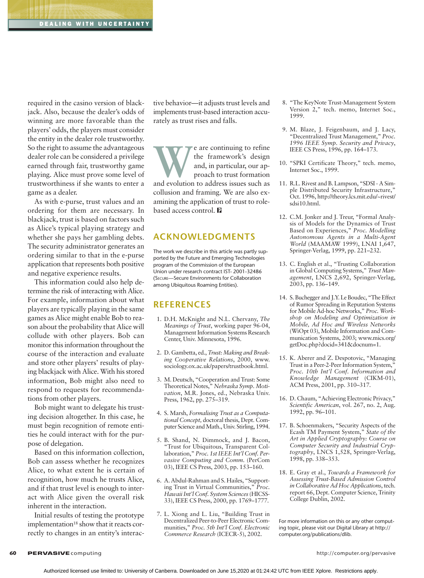required in the casino version of blackjack. Also, because the dealer's odds of winning are more favorable than the players' odds, the players must consider the entity in the dealer role trustworthy. So the right to assume the advantageous dealer role can be considered a privilege earned through fair, trustworthy game playing. Alice must prove some level of trustworthiness if she wants to enter a game as a dealer.

As with e-purse, trust values and an ordering for them are necessary. In blackjack, trust is based on factors such as Alice's typical playing strategy and whether she pays her gambling debts. The security administrator generates an ordering similar to that in the e-purse application that represents both positive and negative experience results.

This information could also help determine the risk of interacting with Alice. For example, information about what players are typically playing in the same games as Alice might enable Bob to reason about the probability that Alice will collude with other players. Bob can monitor this information throughout the course of the interaction and evaluate and store other players' results of playing blackjack with Alice. With his stored information, Bob might also need to respond to requests for recommendations from other players.

Bob might want to delegate his trusting decision altogether. In this case, he must begin recognition of remote entities he could interact with for the purpose of delegation.

Based on this information collection, Bob can assess whether he recognizes Alice, to what extent he is certain of recognition, how much he trusts Alice, and if that trust level is enough to interact with Alice given the overall risk inherent in the interaction.

Initial results of testing the prototype implementation<sup>18</sup> show that it reacts correctly to changes in an entity's interactive behavior—it adjusts trust levels and implements trust-based interaction accurately as trust rises and falls.

**WW** e are continuing to refine the framework's design and, in particular, our approach to trust formation and evolution to address issues such as the framework's design and, in particular, our approach to trust formation collusion and framing. We are also examining the application of trust to rolebased access control.

### **ACKNOWLEDGMENTS**

The work we describe in this article was partly supported by the Future and Emerging Technologies program of the Commission of the European Union under research contract IST- 2001-32486 (SECURE—Secure Environments for Collaboration among Ubiquitous Roaming Entities).

### **REFERENCES**

- 1. D.H. McKnight and N.L. Chervany, *The Meanings of Trust*, working paper 96-04, Management Information Systems Research Center, Univ. Minnesota, 1996.
- 2. D. Gambetta, ed., *Trust: Making and Breaking Cooperative Relations*, 2000, www. sociology.ox.ac.uk/papers/trustbook.html.
- 3. M. Deutsch, "Cooperation and Trust: Some Theoretical Notes," *Nebraska Symp. Motivation*, M.R. Jones, ed., Nebraska Univ. Press, 1962, pp. 275–319.
- 4. S. Marsh, *Formalising Trust as a Computational Concept,* doctoral thesis, Dept. Computer Science and Math., Univ. Stirling, 1994.
- 5. B. Shand, N. Dimmock, and J. Bacon, "Trust for Ubiquitous, Transparent Collaboration," *Proc. 1st IEEE Int'l Conf. Pervasive Computing and Comm.* (PerCom 03), IEEE CS Press, 2003, pp. 153–160.
- 6. A. Abdul-Rahman and S. Hailes, "Supporting Trust in Virtual Communities," *Proc. Hawaii Int'l Conf. System Sciences*(HICSS-33), IEEE CS Press, 2000, pp. 1769–1777.
- 7. L. Xiong and L. Liu, "Building Trust in Decentralized Peer-to-Peer Electronic Communities," *Proc. 5th Int'l Conf. Electronic Commerce Research* (ICECR-5), 2002.
- 8. "The KeyNote Trust-Management System Version 2," tech. memo, Internet Soc., 1999.
- 9. M. Blaze, J. Feigenbaum, and J. Lacy, "Decentralized Trust Management," *Proc. 1996 IEEE Symp. Security and Privacy*, IEEE CS Press, 1996, pp. 164–173.
- 10. "SPKI Certificate Theory," tech. memo, Internet Soc., 1999.
- 11. R.L. Rivest and B. Lampson, "SDSI A Simple Distributed Security Infrastructure," Oct. 1996, http://theory.lcs.mit.edu/~rivest/ sdsi10.html.
- 12. C.M. Jonker and J. Treur, "Formal Analysis of Models for the Dynamics of Trust Based on Experiences," *Proc. Modelling Autonomous Agents in a Multi-Agent World* (MAAMAW 1999), LNAI 1,647, Springer-Verlag, 1999, pp. 221–232.
- 13. C. English et al., "Trusting Collaboration in Global Computing Systems," *Trust Management*, LNCS 2,692, Springer-Verlag, 2003, pp. 136–149.
- 14. S. Buchegger and J.Y. Le Boudec, "The Effect of Rumor Spreading in Reputation Systems for Mobile Ad-hoc Networks," *Proc. Workshop on Modeling and Optimization in Mobile, Ad Hoc and Wireless Networks* (WiOpt 03), Mobile Information and Communication Systems, 2003; www.mics.org/ getDoc.php?docid=341&docnum=1.
- 15. K. Aberer and Z. Despotovic, "Managing Trust in a Peer-2-Peer Information System, *Proc. 10th Int'l Conf. Information and Knowledge Management* (CIKM-01), ACM Press, 2001, pp. 310–317.
- 16. D. Chaum, "Achieving Electronic Privacy," *Scientific American*, vol. 267, no. 2, Aug. 1992, pp. 96–101.
- 17. B. Schoenmakers, "Security Aspects of the Ecash TM Payment System," *State of the Art in Applied Cryptography: Course on Computer Security and Industrial Cryptography*, LNCS 1,528, Springer-Verlag, 1998, pp. 338–353.
- 18. E. Gray et al., *Towards a Framework for Assessing Trust-Based Admission Control in Collaborative Ad Hoc Applications*, tech. report 66, Dept. Computer Science, Trinity College Dublin, 2002.

For more information on this or any other computing topic, please visit our Digital Library at http:// computer.org/publications/dlib.